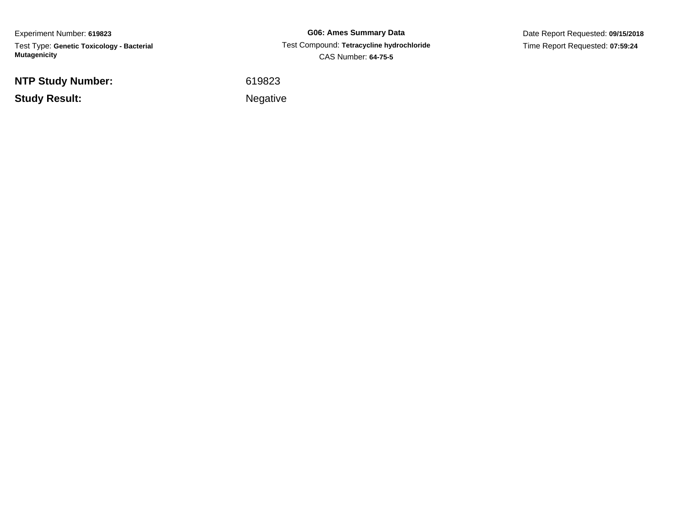Experiment Number: **619823**Test Type: **Genetic Toxicology - Bacterial Mutagenicity**

**NTP Study Number:**

**Study Result:**

**G06: Ames Summary Data** Test Compound: **Tetracycline hydrochloride**CAS Number: **64-75-5**

Date Report Requested: **09/15/2018**Time Report Requested: **07:59:24**

<sup>619823</sup>

Negative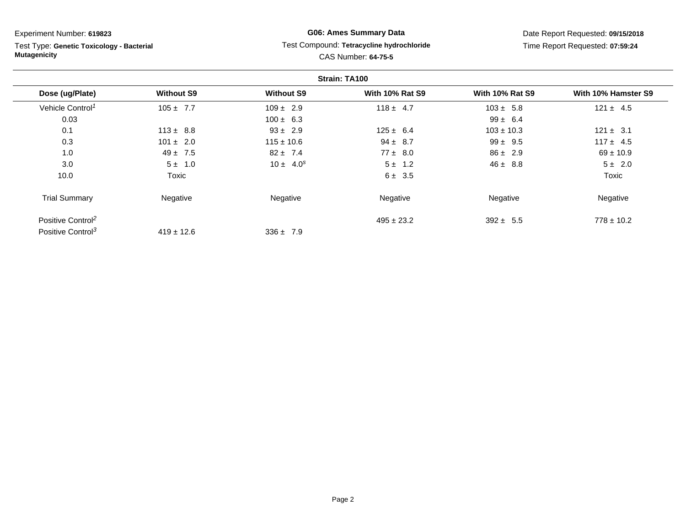Test Type: **Genetic Toxicology - Bacterial Mutagenicity**

## **G06: Ames Summary Data** Test Compound: **Tetracycline hydrochloride**CAS Number: **64-75-5**

|                               |                   |                   | Strain: TA100          |                        |                     |
|-------------------------------|-------------------|-------------------|------------------------|------------------------|---------------------|
| Dose (ug/Plate)               | <b>Without S9</b> | <b>Without S9</b> | <b>With 10% Rat S9</b> | <b>With 10% Rat S9</b> | With 10% Hamster S9 |
| Vehicle Control <sup>1</sup>  | $105 \pm 7.7$     | $109 \pm 2.9$     | $118 \pm 4.7$          | $103 \pm 5.8$          | $121 \pm 4.5$       |
| 0.03                          |                   | $100 \pm 6.3$     |                        | $99 \pm 6.4$           |                     |
| 0.1                           | $113 \pm 8.8$     | $93 \pm 2.9$      | $125 \pm 6.4$          | $103 \pm 10.3$         | $121 \pm 3.1$       |
| 0.3                           | $101 \pm 2.0$     | $115 \pm 10.6$    | $94 \pm 8.7$           | $99 \pm 9.5$           | $117 \pm 4.5$       |
| 1.0                           | $49 \pm 7.5$      | $82 \pm 7.4$      | $77 \pm 8.0$           | $86 \pm 2.9$           | $69 \pm 10.9$       |
| 3.0                           | $5 \pm 1.0$       | $10 \pm 4.0^s$    | $5 \pm 1.2$            | $46 \pm 8.8$           | $5 \pm 2.0$         |
| 10.0                          | Toxic             |                   | 6 ± 3.5                |                        | <b>Toxic</b>        |
| <b>Trial Summary</b>          | Negative          | Negative          | Negative               | Negative               | Negative            |
| Positive Control <sup>2</sup> |                   |                   | $495 \pm 23.2$         | $392 \pm 5.5$          | $778 \pm 10.2$      |
| Positive Control <sup>3</sup> | $419 \pm 12.6$    | $336 \pm 7.9$     |                        |                        |                     |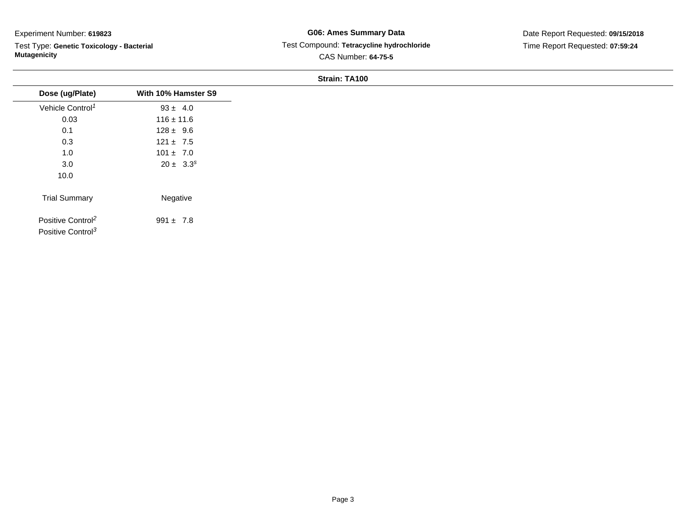÷.

Test Type: **Genetic Toxicology - Bacterial Mutagenicity**

## **G06: Ames Summary Data** Test Compound: **Tetracycline hydrochloride**CAS Number: **64-75-5**

Date Report Requested: **09/15/2018**Time Report Requested: **07:59:24**

| Dose (ug/Plate)                                                | With 10% Hamster S9 |
|----------------------------------------------------------------|---------------------|
| Vehicle Control <sup>1</sup>                                   | $93 \pm 4.0$        |
| 0.03                                                           | $116 \pm 11.6$      |
| 0.1                                                            | $128 \pm 9.6$       |
| 0.3                                                            | $121 \pm 7.5$       |
| 1.0                                                            | $101 \pm 7.0$       |
| 3.0                                                            | $20 \pm 3.3^s$      |
| 10.0                                                           |                     |
| <b>Trial Summary</b>                                           | Negative            |
| Positive Control <sup>2</sup><br>Positive Control <sup>3</sup> | $991 \pm 7.8$       |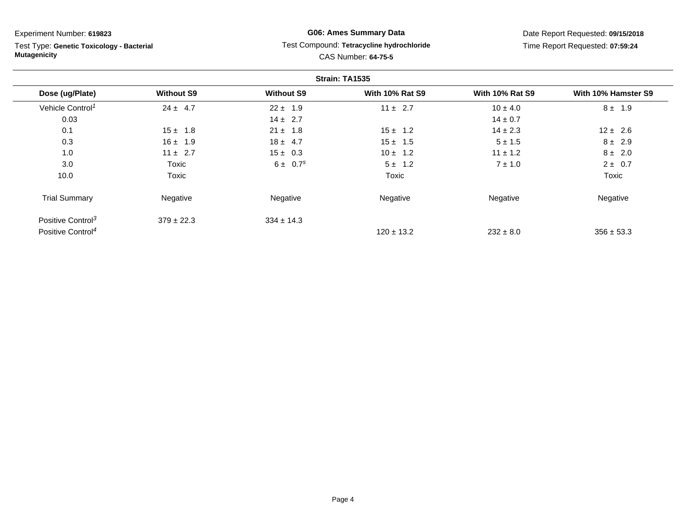Test Type: **Genetic Toxicology - Bacterial Mutagenicity**

## **G06: Ames Summary Data** Test Compound: **Tetracycline hydrochloride**CAS Number: **64-75-5**

|                               |                   |                          | Strain: TA1535         |                        |                     |
|-------------------------------|-------------------|--------------------------|------------------------|------------------------|---------------------|
| Dose (ug/Plate)               | <b>Without S9</b> | <b>Without S9</b>        | <b>With 10% Rat S9</b> | <b>With 10% Rat S9</b> | With 10% Hamster S9 |
| Vehicle Control <sup>1</sup>  | $24 \pm 4.7$      | $22 \pm 1.9$             | $11 \pm 2.7$           | $10 \pm 4.0$           | $8 \pm 1.9$         |
| 0.03                          |                   | $14 \pm 2.7$             |                        | $14 \pm 0.7$           |                     |
| 0.1                           | $15 \pm 1.8$      | $21 \pm 1.8$             | $15 \pm 1.2$           | $14 \pm 2.3$           | $12 \pm 2.6$        |
| 0.3                           | $16 \pm 1.9$      | $18 \pm 4.7$             | $15 \pm 1.5$           | $5 \pm 1.5$            | $8 \pm 2.9$         |
| 1.0                           | $11 \pm 2.7$      | $15 \pm 0.3$             | $10 \pm 1.2$           | $11 \pm 1.2$           | $8 \pm 2.0$         |
| 3.0                           | Toxic             | $6 \pm 0.7$ <sup>s</sup> | $5 \pm 1.2$            | $7 \pm 1.0$            | $2 \pm 0.7$         |
| 10.0                          | Toxic             |                          | Toxic                  |                        | Toxic               |
| <b>Trial Summary</b>          | Negative          | Negative                 | Negative               | Negative               | Negative            |
| Positive Control <sup>3</sup> | $379 \pm 22.3$    | $334 \pm 14.3$           |                        |                        |                     |
| Positive Control <sup>4</sup> |                   |                          | $120 \pm 13.2$         | $232 \pm 8.0$          | $356 \pm 53.3$      |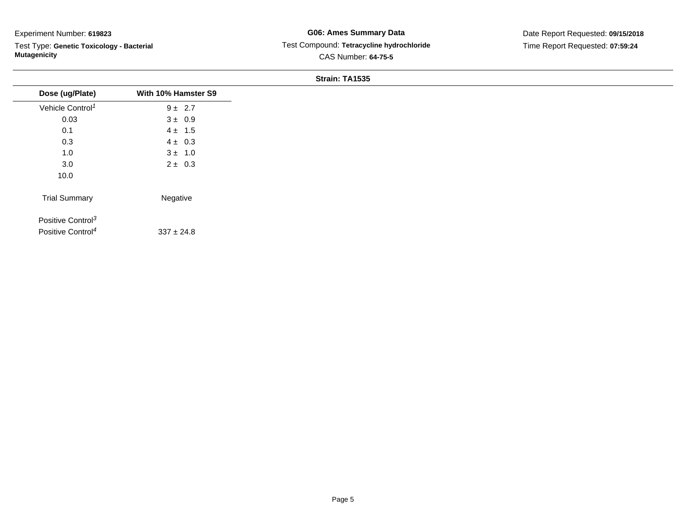Test Type: **Genetic Toxicology - Bacterial Mutagenicity**

## **G06: Ames Summary Data** Test Compound: **Tetracycline hydrochloride**CAS Number: **64-75-5**

|                               |                     | $JII$ alli. $III1JII3JI$ |  |
|-------------------------------|---------------------|--------------------------|--|
| Dose (ug/Plate)               | With 10% Hamster S9 |                          |  |
| Vehicle Control <sup>1</sup>  | $9 \pm 2.7$         |                          |  |
| 0.03                          | $3 \pm 0.9$         |                          |  |
| 0.1                           | $4 \pm 1.5$         |                          |  |
| 0.3                           | $4 \pm 0.3$         |                          |  |
| $1.0$                         | $3 \pm 1.0$         |                          |  |
| 3.0                           | $2 \pm 0.3$         |                          |  |
| 10.0                          |                     |                          |  |
| <b>Trial Summary</b>          | Negative            |                          |  |
| Positive Control <sup>3</sup> |                     |                          |  |
| Positive Control <sup>4</sup> | $337 \pm 24.8$      |                          |  |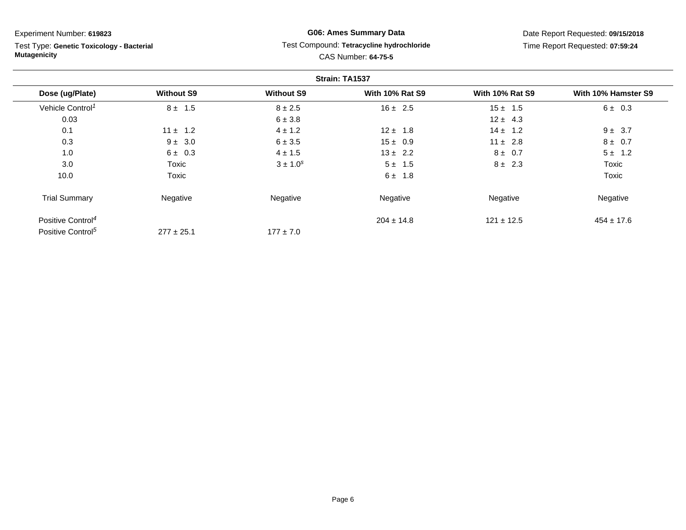Test Type: **Genetic Toxicology - Bacterial Mutagenicity**

## **G06: Ames Summary Data** Test Compound: **Tetracycline hydrochloride**CAS Number: **64-75-5**

|                               |                   |                   | Strain: TA1537         |                        |                     |
|-------------------------------|-------------------|-------------------|------------------------|------------------------|---------------------|
| Dose (ug/Plate)               | <b>Without S9</b> | <b>Without S9</b> | <b>With 10% Rat S9</b> | <b>With 10% Rat S9</b> | With 10% Hamster S9 |
| Vehicle Control <sup>1</sup>  | $8 \pm 1.5$       | $8 \pm 2.5$       | $16 \pm 2.5$           | $15 \pm 1.5$           | 6 ± 0.3             |
| 0.03                          |                   | 6 ± 3.8           |                        | $12 \pm 4.3$           |                     |
| 0.1                           | $11 \pm 1.2$      | $4 \pm 1.2$       | $12 \pm 1.8$           | $14 \pm 1.2$           | $9 \pm 3.7$         |
| 0.3                           | $9 \pm 3.0$       | 6 ± 3.5           | $15 \pm 0.9$           | $11 \pm 2.8$           | $8 \pm 0.7$         |
| 1.0                           | $6 \pm 0.3$       | $4 \pm 1.5$       | $13 \pm 2.2$           | $8 \pm 0.7$            | $5 \pm 1.2$         |
| 3.0                           | Toxic             | $3 \pm 1.0^s$     | $5 \pm 1.5$            | $8 \pm 2.3$            | Toxic               |
| 10.0                          | Toxic             |                   | $6 \pm 1.8$            |                        | Toxic               |
| <b>Trial Summary</b>          | Negative          | Negative          | Negative               | Negative               | Negative            |
| Positive Control <sup>4</sup> |                   |                   | $204 \pm 14.8$         | $121 \pm 12.5$         | $454 \pm 17.6$      |
| Positive Control <sup>5</sup> | $277 \pm 25.1$    | $177 \pm 7.0$     |                        |                        |                     |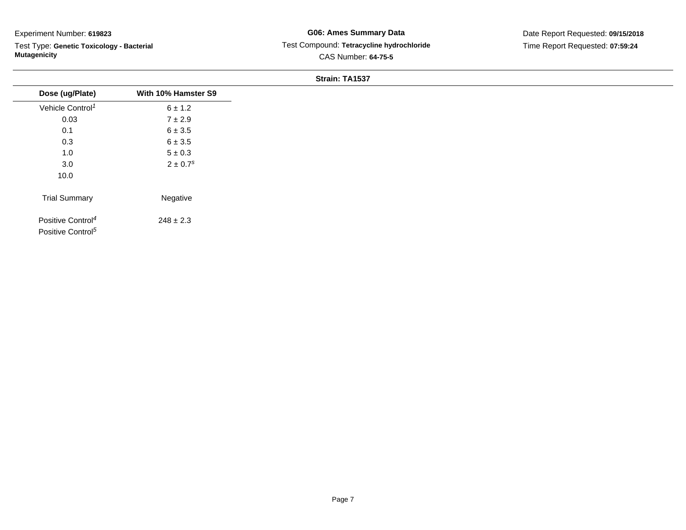Test Type: **Genetic Toxicology - Bacterial Mutagenicity**

## **G06: Ames Summary Data** Test Compound: **Tetracycline hydrochloride**CAS Number: **64-75-5**

|                               |                          | O(10111.1A1J) |  |
|-------------------------------|--------------------------|---------------|--|
| Dose (ug/Plate)               | With 10% Hamster S9      |               |  |
| Vehicle Control <sup>1</sup>  | $6 \pm 1.2$              |               |  |
| 0.03                          | $7 \pm 2.9$              |               |  |
| 0.1                           | $6 \pm 3.5$              |               |  |
| 0.3                           | $6 \pm 3.5$              |               |  |
| 1.0                           | $5\pm0.3$                |               |  |
| 3.0                           | $2 \pm 0.7$ <sup>s</sup> |               |  |
| 10.0                          |                          |               |  |
| <b>Trial Summary</b>          | Negative                 |               |  |
| Positive Control <sup>4</sup> | $248 \pm 2.3$            |               |  |
| Positive Control <sup>5</sup> |                          |               |  |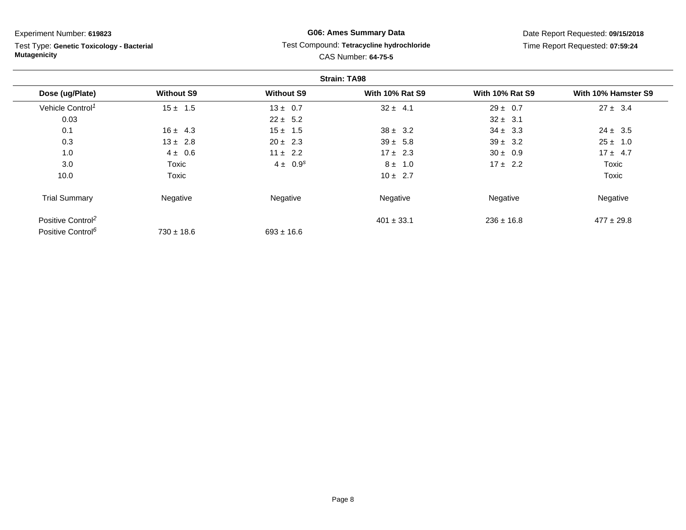Test Type: **Genetic Toxicology - Bacterial Mutagenicity**

## **G06: Ames Summary Data** Test Compound: **Tetracycline hydrochloride**CAS Number: **64-75-5**

|                               |                   |                   | <b>Strain: TA98</b>    |                        |                     |
|-------------------------------|-------------------|-------------------|------------------------|------------------------|---------------------|
| Dose (ug/Plate)               | <b>Without S9</b> | <b>Without S9</b> | <b>With 10% Rat S9</b> | <b>With 10% Rat S9</b> | With 10% Hamster S9 |
| Vehicle Control <sup>1</sup>  | $15 \pm 1.5$      | $13 \pm 0.7$      | $32 \pm 4.1$           | $29 \pm 0.7$           | $27 \pm 3.4$        |
| 0.03                          |                   | $22 \pm 5.2$      |                        | $32 \pm 3.1$           |                     |
| 0.1                           | $16 \pm 4.3$      | $15 \pm 1.5$      | $38 \pm 3.2$           | $34 \pm 3.3$           | $24 \pm 3.5$        |
| 0.3                           | $13 \pm 2.8$      | $20 \pm 2.3$      | $39 \pm 5.8$           | $39 \pm 3.2$           | $25 \pm 1.0$        |
| 1.0                           | $4 \pm 0.6$       | $11 \pm 2.2$      | $17 \pm 2.3$           | $30 \pm 0.9$           | $17 \pm 4.7$        |
| 3.0                           | Toxic             | $4 \pm 0.9^{s}$   | $8 \pm 1.0$            | $17 \pm 2.2$           | Toxic               |
| 10.0                          | Toxic             |                   | $10 \pm 2.7$           |                        | Toxic               |
| <b>Trial Summary</b>          | Negative          | Negative          | Negative               | Negative               | Negative            |
| Positive Control <sup>2</sup> |                   |                   | $401 \pm 33.1$         | $236 \pm 16.8$         | $477 \pm 29.8$      |
| Positive Control <sup>6</sup> | $730 \pm 18.6$    | $693 \pm 16.6$    |                        |                        |                     |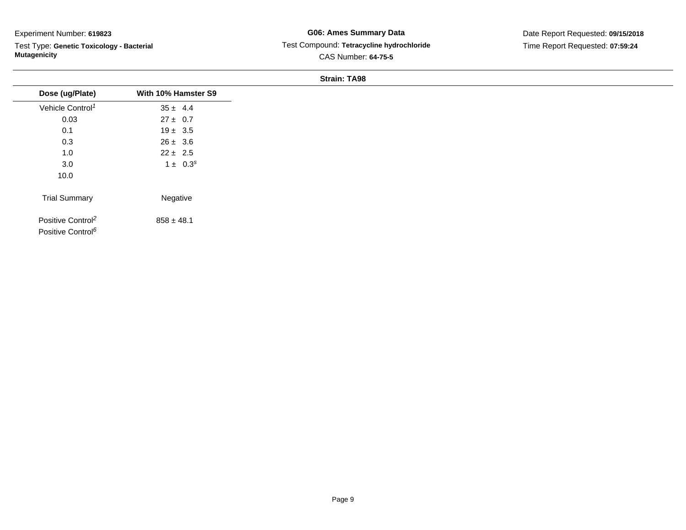Test Type: **Genetic Toxicology - Bacterial Mutagenicity**

**G06: Ames Summary Data** Test Compound: **Tetracycline hydrochloride**CAS Number: **64-75-5**

Date Report Requested: **09/15/2018**Time Report Requested: **07:59:24**

| Dose (ug/Plate)               | With 10% Hamster S9 |
|-------------------------------|---------------------|
| Vehicle Control <sup>1</sup>  | $35 \pm 4.4$        |
| 0.03                          | $27 \pm 0.7$        |
| 0.1                           | $19 \pm 3.5$        |
| 0.3                           | $26 \pm 3.6$        |
| 1.0                           | $22 \pm 2.5$        |
| 3.0                           | $1 \pm 0.3^s$       |
| 10.0                          |                     |
| <b>Trial Summary</b>          | Negative            |
| Positive Control <sup>2</sup> | $858 \pm 48.1$      |
| Positive Control <sup>6</sup> |                     |